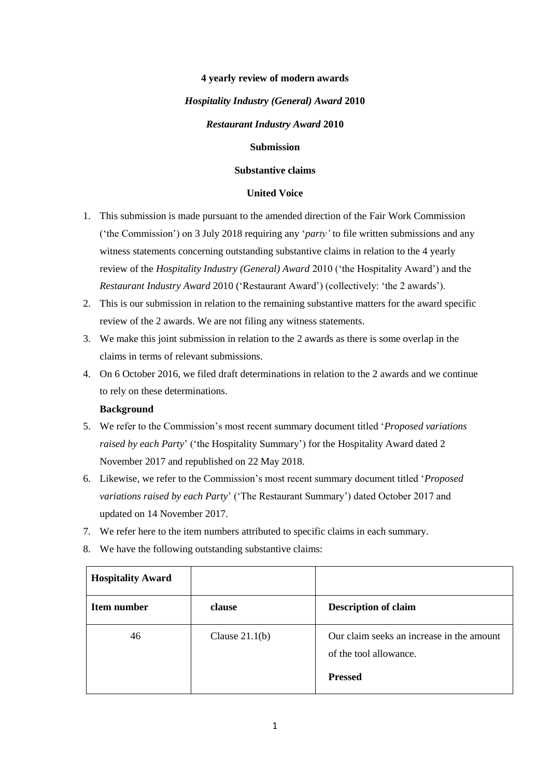#### **4 yearly review of modern awards**

#### *Hospitality Industry (General) Award* **2010**

#### *Restaurant Industry Award* **2010**

#### **Submission**

#### **Substantive claims**

#### **United Voice**

- 1. This submission is made pursuant to the amended direction of the Fair Work Commission ('the Commission') on 3 July 2018 requiring any '*party'* to file written submissions and any witness statements concerning outstanding substantive claims in relation to the 4 yearly review of the *Hospitality Industry (General) Award* 2010 ('the Hospitality Award') and the *Restaurant Industry Award* 2010 ('Restaurant Award') (collectively: 'the 2 awards').
- 2. This is our submission in relation to the remaining substantive matters for the award specific review of the 2 awards. We are not filing any witness statements.
- 3. We make this joint submission in relation to the 2 awards as there is some overlap in the claims in terms of relevant submissions.
- 4. On 6 October 2016, we filed draft determinations in relation to the 2 awards and we continue to rely on these determinations.

#### **Background**

- 5. We refer to the Commission's most recent summary document titled '*Proposed variations raised by each Party*' ('the Hospitality Summary') for the Hospitality Award dated 2 November 2017 and republished on 22 May 2018.
- 6. Likewise, we refer to the Commission's most recent summary document titled '*Proposed variations raised by each Party*' ('The Restaurant Summary') dated October 2017 and updated on 14 November 2017.
- 7. We refer here to the item numbers attributed to specific claims in each summary.
- 8. We have the following outstanding substantive claims:

| <b>Hospitality Award</b> |                  |                                                                                       |
|--------------------------|------------------|---------------------------------------------------------------------------------------|
| Item number              | clause           | <b>Description of claim</b>                                                           |
| 46                       | Clause $21.1(b)$ | Our claim seeks an increase in the amount<br>of the tool allowance.<br><b>Pressed</b> |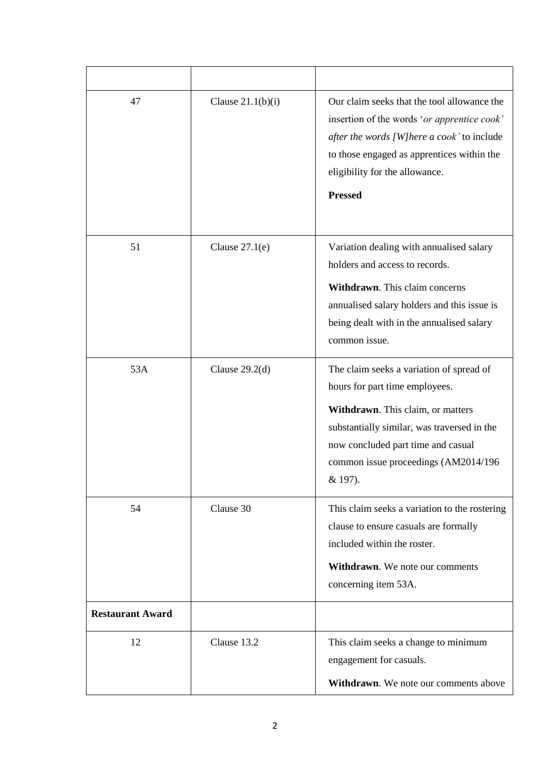| 47                      | Clause $21.1(b)(i)$ | Our claim seeks that the tool allowance the<br>insertion of the words 'or apprentice cook'<br>after the words [W]here a cook' to include<br>to those engaged as apprentices within the<br>eligibility for the allowance.<br><b>Pressed</b>              |
|-------------------------|---------------------|---------------------------------------------------------------------------------------------------------------------------------------------------------------------------------------------------------------------------------------------------------|
| 51                      | Clause $27.1(e)$    | Variation dealing with annualised salary<br>holders and access to records.<br>Withdrawn. This claim concerns<br>annualised salary holders and this issue is<br>being dealt with in the annualised salary<br>common issue.                               |
| 53A                     | Clause $29.2d$ )    | The claim seeks a variation of spread of<br>hours for part time employees.<br>Withdrawn. This claim, or matters<br>substantially similar, was traversed in the<br>now concluded part time and casual<br>common issue proceedings (AM2014/196<br>& 197). |
| 54                      | Clause 30           | This claim seeks a variation to the rostering<br>clause to ensure casuals are formally<br>included within the roster.<br>Withdrawn. We note our comments<br>concerning item 53A.                                                                        |
| <b>Restaurant Award</b> |                     |                                                                                                                                                                                                                                                         |
| 12                      | Clause 13.2         | This claim seeks a change to minimum<br>engagement for casuals.<br>Withdrawn. We note our comments above                                                                                                                                                |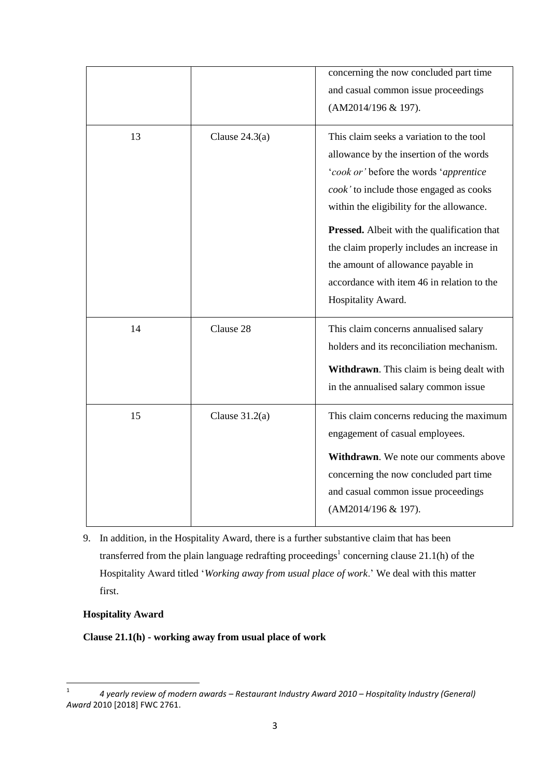|    |                  | concerning the now concluded part time<br>and casual common issue proceedings<br>(AM2014/196 & 197).                                                                                                                                                                                                                                                                                                                         |
|----|------------------|------------------------------------------------------------------------------------------------------------------------------------------------------------------------------------------------------------------------------------------------------------------------------------------------------------------------------------------------------------------------------------------------------------------------------|
| 13 | Clause $24.3(a)$ | This claim seeks a variation to the tool<br>allowance by the insertion of the words<br>'cook or' before the words 'apprentice<br>cook' to include those engaged as cooks<br>within the eligibility for the allowance.<br>Pressed. Albeit with the qualification that<br>the claim properly includes an increase in<br>the amount of allowance payable in<br>accordance with item 46 in relation to the<br>Hospitality Award. |
| 14 | Clause 28        | This claim concerns annualised salary<br>holders and its reconciliation mechanism.<br>Withdrawn. This claim is being dealt with<br>in the annualised salary common issue                                                                                                                                                                                                                                                     |
| 15 | Clause $31.2(a)$ | This claim concerns reducing the maximum<br>engagement of casual employees.<br>Withdrawn. We note our comments above<br>concerning the now concluded part time<br>and casual common issue proceedings<br>(AM2014/196 & 197).                                                                                                                                                                                                 |

9. In addition, in the Hospitality Award, there is a further substantive claim that has been transferred from the plain language redrafting proceedings<sup>1</sup> concerning clause 21.1(h) of the Hospitality Award titled '*Working away from usual place of work*.' We deal with this matter first.

# **Hospitality Award**

**Clause 21.1(h) - working away from usual place of work**

 $\frac{1}{1}$ *4 yearly review of modern awards – Restaurant Industry Award 2010 – Hospitality Industry (General) Award* 2010 [2018] FWC 2761.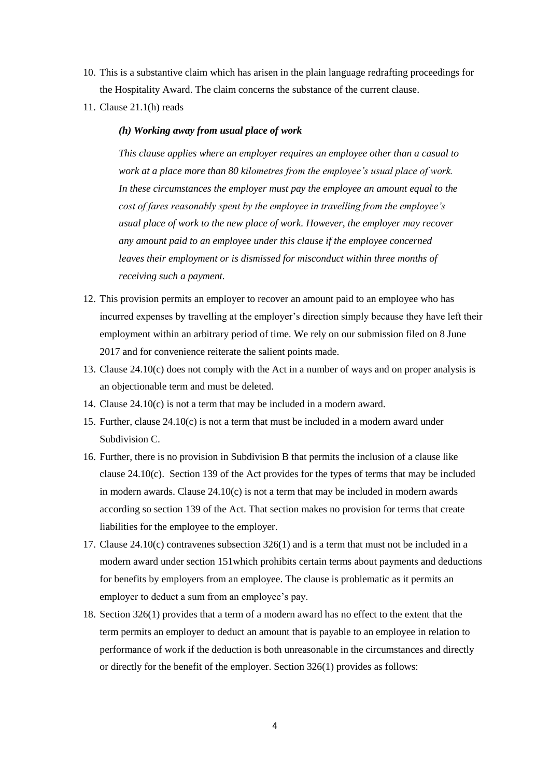- 10. This is a substantive claim which has arisen in the plain language redrafting proceedings for the Hospitality Award. The claim concerns the substance of the current clause.
- 11. Clause 21.1(h) reads

#### *(h) Working away from usual place of work*

*This clause applies where an employer requires an employee other than a casual to work at a place more than 80 kilometres from the employee's usual place of work. In these circumstances the employer must pay the employee an amount equal to the cost of fares reasonably spent by the employee in travelling from the employee's usual place of work to the new place of work. However, the employer may recover any amount paid to an employee under this clause if the employee concerned leaves their employment or is dismissed for misconduct within three months of receiving such a payment.*

- 12. This provision permits an employer to recover an amount paid to an employee who has incurred expenses by travelling at the employer's direction simply because they have left their employment within an arbitrary period of time. We rely on our submission filed on 8 June 2017 and for convenience reiterate the salient points made.
- 13. Clause 24.10(c) does not comply with the Act in a number of ways and on proper analysis is an objectionable term and must be deleted.
- 14. Clause 24.10(c) is not a term that may be included in a modern award.
- 15. Further, clause  $24.10(c)$  is not a term that must be included in a modern award under Subdivision C.
- 16. Further, there is no provision in Subdivision B that permits the inclusion of a clause like clause 24.10(c). Section 139 of the Act provides for the types of terms that may be included in modern awards. Clause  $24.10(c)$  is not a term that may be included in modern awards according so section 139 of the Act. That section makes no provision for terms that create liabilities for the employee to the employer.
- 17. Clause  $24.10(c)$  contravenes subsection  $326(1)$  and is a term that must not be included in a modern award under section 151which prohibits certain terms about payments and deductions for benefits by employers from an employee. The clause is problematic as it permits an employer to deduct a sum from an employee's pay.
- 18. Section 326(1) provides that a term of a modern award has no effect to the extent that the term permits an employer to deduct an amount that is payable to an employee in relation to performance of work if the deduction is both unreasonable in the circumstances and directly or directly for the benefit of the employer. Section 326(1) provides as follows: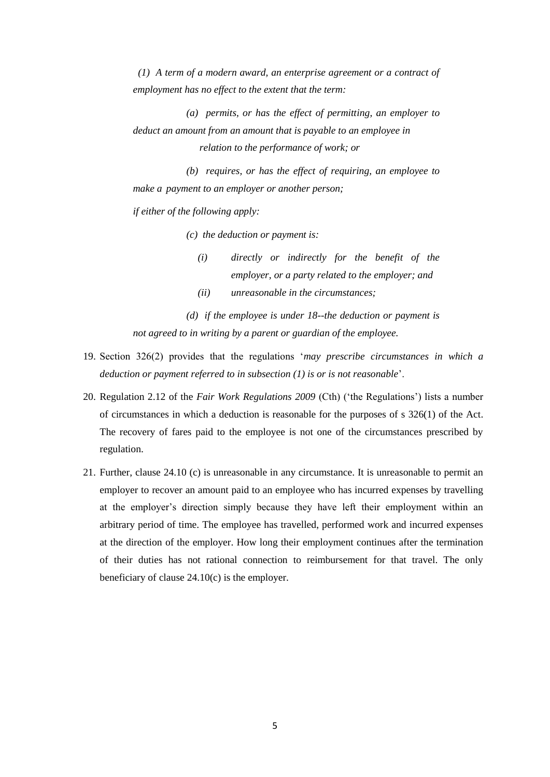*(1) A term of a modern award, an enterprise agreement or a contract of employment has no effect to the extent that the term:*

 *(a) permits, or has the effect of permitting, an employer to deduct an amount from an amount that is payable to an employee in relation to the performance of work; or*

 *(b) requires, or has the effect of requiring, an employee to make a payment to an employer or another person;*

*if either of the following apply:*

 *(c) the deduction or payment is:*

- *(i) directly or indirectly for the benefit of the employer, or a party related to the employer; and*
- *(ii) unreasonable in the circumstances;*

 *(d) if the employee is under 18--the deduction or payment is not agreed to in writing by a parent or guardian of the employee.*

- 19. Section 326(2) provides that the regulations '*may prescribe circumstances in which a deduction or payment referred to in subsection (1) is or is not reasonable*'.
- 20. Regulation 2.12 of the *Fair Work Regulations 2009* (Cth) ('the Regulations') lists a number of circumstances in which a deduction is reasonable for the purposes of s 326(1) of the Act. The recovery of fares paid to the employee is not one of the circumstances prescribed by regulation.
- 21. Further, clause 24.10 (c) is unreasonable in any circumstance. It is unreasonable to permit an employer to recover an amount paid to an employee who has incurred expenses by travelling at the employer's direction simply because they have left their employment within an arbitrary period of time. The employee has travelled, performed work and incurred expenses at the direction of the employer. How long their employment continues after the termination of their duties has not rational connection to reimbursement for that travel. The only beneficiary of clause 24.10(c) is the employer.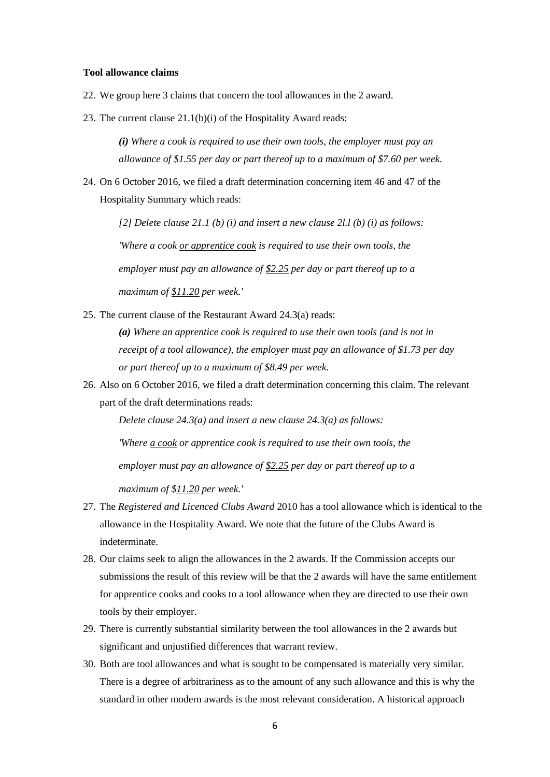#### **Tool allowance claims**

- 22. We group here 3 claims that concern the tool allowances in the 2 award.
- 23. The current clause 21.1(b)(i) of the Hospitality Award reads:

*(i) Where a cook is required to use their own tools, the employer must pay an allowance of \$1.55 per day or part thereof up to a maximum of \$7.60 per week.*

24. On 6 October 2016, we filed a draft determination concerning item 46 and 47 of the Hospitality Summary which reads:

*[2] Delete clause 21.1 (b) (i) and insert a new clause 2l.l (b) (i) as follows: 'Where a cook or apprentice cook is required to use their own tools, the employer must pay an allowance of \$2.25 per day or part thereof up to a maximum of \$11.20 per week.'*

25. The current clause of the Restaurant Award 24.3(a) reads:

*(a) Where an apprentice cook is required to use their own tools (and is not in receipt of a tool allowance), the employer must pay an allowance of \$1.73 per day or part thereof up to a maximum of \$8.49 per week.*

26. Also on 6 October 2016, we filed a draft determination concerning this claim. The relevant part of the draft determinations reads:

*Delete clause 24.3(a) and insert a new clause 24.3(a) as follows:*

*'Where a cook or apprentice cook is required to use their own tools, the*

*employer must pay an allowance of \$2.25 per day or part thereof up to a*

*maximum of \$11.20 per week.'*

- 27. The *Registered and Licenced Clubs Award* 2010 has a tool allowance which is identical to the allowance in the Hospitality Award. We note that the future of the Clubs Award is indeterminate.
- 28. Our claims seek to align the allowances in the 2 awards. If the Commission accepts our submissions the result of this review will be that the 2 awards will have the same entitlement for apprentice cooks and cooks to a tool allowance when they are directed to use their own tools by their employer.
- 29. There is currently substantial similarity between the tool allowances in the 2 awards but significant and unjustified differences that warrant review.
- 30. Both are tool allowances and what is sought to be compensated is materially very similar. There is a degree of arbitrariness as to the amount of any such allowance and this is why the standard in other modern awards is the most relevant consideration. A historical approach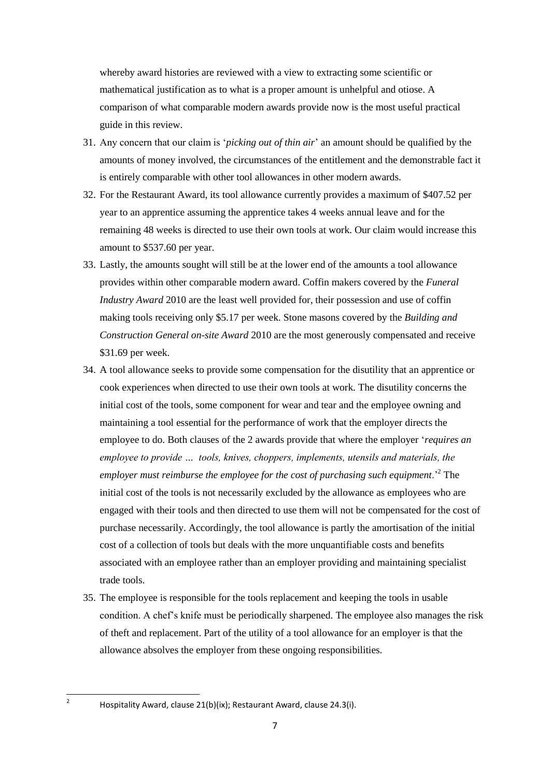whereby award histories are reviewed with a view to extracting some scientific or mathematical justification as to what is a proper amount is unhelpful and otiose. A comparison of what comparable modern awards provide now is the most useful practical guide in this review.

- 31. Any concern that our claim is '*picking out of thin air*' an amount should be qualified by the amounts of money involved, the circumstances of the entitlement and the demonstrable fact it is entirely comparable with other tool allowances in other modern awards.
- 32. For the Restaurant Award, its tool allowance currently provides a maximum of \$407.52 per year to an apprentice assuming the apprentice takes 4 weeks annual leave and for the remaining 48 weeks is directed to use their own tools at work. Our claim would increase this amount to \$537.60 per year.
- 33. Lastly, the amounts sought will still be at the lower end of the amounts a tool allowance provides within other comparable modern award. Coffin makers covered by the *Funeral Industry Award* 2010 are the least well provided for, their possession and use of coffin making tools receiving only \$5.17 per week. Stone masons covered by the *Building and Construction General on-site Award* 2010 are the most generously compensated and receive \$31.69 per week.
- 34. A tool allowance seeks to provide some compensation for the disutility that an apprentice or cook experiences when directed to use their own tools at work. The disutility concerns the initial cost of the tools, some component for wear and tear and the employee owning and maintaining a tool essential for the performance of work that the employer directs the employee to do. Both clauses of the 2 awards provide that where the employer '*requires an employee to provide … tools, knives, choppers, implements, utensils and materials, the employer must reimburse the employee for the cost of purchasing such equipment*.'<sup>2</sup> The initial cost of the tools is not necessarily excluded by the allowance as employees who are engaged with their tools and then directed to use them will not be compensated for the cost of purchase necessarily. Accordingly, the tool allowance is partly the amortisation of the initial cost of a collection of tools but deals with the more unquantifiable costs and benefits associated with an employee rather than an employer providing and maintaining specialist trade tools.
- 35. The employee is responsible for the tools replacement and keeping the tools in usable condition. A chef's knife must be periodically sharpened. The employee also manages the risk of theft and replacement. Part of the utility of a tool allowance for an employer is that the allowance absolves the employer from these ongoing responsibilities.

 $\frac{1}{2}$ 

Hospitality Award, clause 21(b)(ix); Restaurant Award, clause 24.3(i).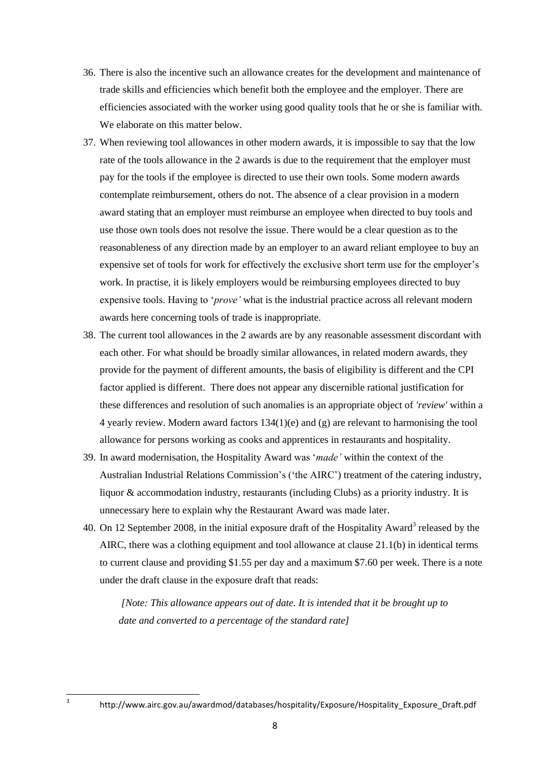- 36. There is also the incentive such an allowance creates for the development and maintenance of trade skills and efficiencies which benefit both the employee and the employer. There are efficiencies associated with the worker using good quality tools that he or she is familiar with. We elaborate on this matter below.
- 37. When reviewing tool allowances in other modern awards, it is impossible to say that the low rate of the tools allowance in the 2 awards is due to the requirement that the employer must pay for the tools if the employee is directed to use their own tools. Some modern awards contemplate reimbursement, others do not. The absence of a clear provision in a modern award stating that an employer must reimburse an employee when directed to buy tools and use those own tools does not resolve the issue. There would be a clear question as to the reasonableness of any direction made by an employer to an award reliant employee to buy an expensive set of tools for work for effectively the exclusive short term use for the employer's work. In practise, it is likely employers would be reimbursing employees directed to buy expensive tools. Having to '*prove'* what is the industrial practice across all relevant modern awards here concerning tools of trade is inappropriate.
- 38. The current tool allowances in the 2 awards are by any reasonable assessment discordant with each other. For what should be broadly similar allowances, in related modern awards, they provide for the payment of different amounts, the basis of eligibility is different and the CPI factor applied is different. There does not appear any discernible rational justification for these differences and resolution of such anomalies is an appropriate object of *'review'* within a 4 yearly review. Modern award factors 134(1)(e) and (g) are relevant to harmonising the tool allowance for persons working as cooks and apprentices in restaurants and hospitality.
- 39. In award modernisation, the Hospitality Award was '*made'* within the context of the Australian Industrial Relations Commission's ('the AIRC') treatment of the catering industry, liquor & accommodation industry, restaurants (including Clubs) as a priority industry. It is unnecessary here to explain why the Restaurant Award was made later.
- 40. On 12 September 2008, in the initial exposure draft of the Hospitality Award<sup>3</sup> released by the AIRC, there was a clothing equipment and tool allowance at clause 21.1(b) in identical terms to current clause and providing \$1.55 per day and a maximum \$7.60 per week. There is a note under the draft clause in the exposure draft that reads:

*[Note: This allowance appears out of date. It is intended that it be brought up to date and converted to a percentage of the standard rate]*

**.** 3

http://www.airc.gov.au/awardmod/databases/hospitality/Exposure/Hospitality\_Exposure\_Draft.pdf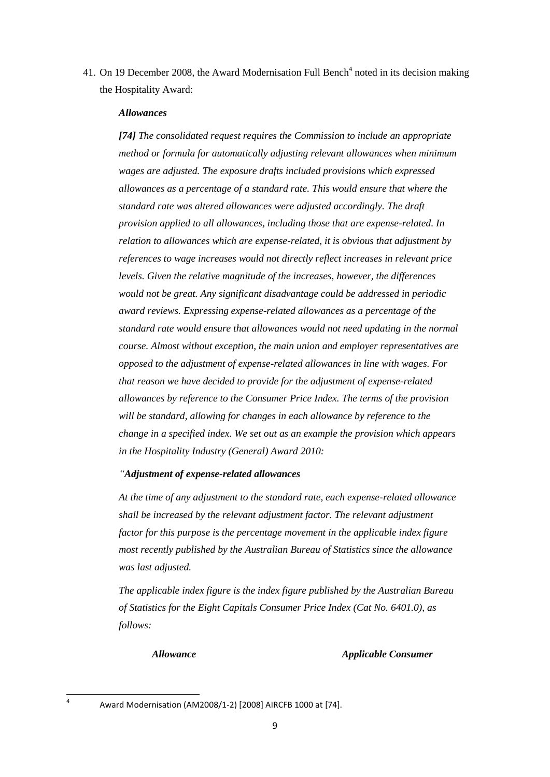41. On 19 December 2008, the Award Modernisation Full Bench<sup>4</sup> noted in its decision making the Hospitality Award:

#### *Allowances*

*[74] The consolidated request requires the Commission to include an appropriate method or formula for automatically adjusting relevant allowances when minimum wages are adjusted. The exposure drafts included provisions which expressed allowances as a percentage of a standard rate. This would ensure that where the standard rate was altered allowances were adjusted accordingly. The draft provision applied to all allowances, including those that are expense-related. In relation to allowances which are expense-related, it is obvious that adjustment by references to wage increases would not directly reflect increases in relevant price levels. Given the relative magnitude of the increases, however, the differences would not be great. Any significant disadvantage could be addressed in periodic award reviews. Expressing expense-related allowances as a percentage of the standard rate would ensure that allowances would not need updating in the normal course. Almost without exception, the main union and employer representatives are opposed to the adjustment of expense-related allowances in line with wages. For that reason we have decided to provide for the adjustment of expense-related allowances by reference to the Consumer Price Index. The terms of the provision will be standard, allowing for changes in each allowance by reference to the change in a specified index. We set out as an example the provision which appears in the Hospitality Industry (General) Award 2010:*

#### *"Adjustment of expense-related allowances*

*At the time of any adjustment to the standard rate, each expense-related allowance shall be increased by the relevant adjustment factor. The relevant adjustment factor for this purpose is the percentage movement in the applicable index figure most recently published by the Australian Bureau of Statistics since the allowance was last adjusted.*

*The applicable index figure is the index figure published by the Australian Bureau of Statistics for the Eight Capitals Consumer Price Index (Cat No. 6401.0), as follows:*

#### *Allowance Applicable Consumer*

**<sup>.</sup>** 4

Award Modernisation (AM2008/1-2) [2008] AIRCFB 1000 at [74].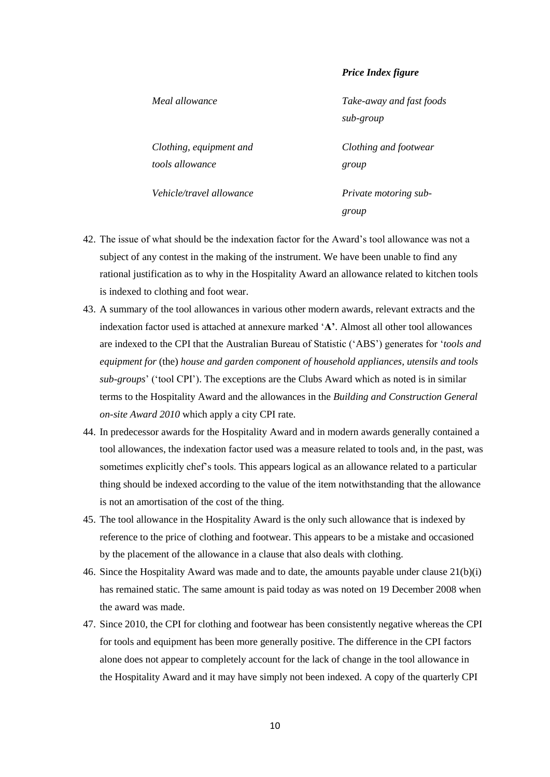#### *Price Index figure*

*Meal allowance Take-away and fast foods* 

*sub-group*

*Clothing and footwear* 

*group*

*group*

*Clothing, equipment and tools allowance*

*Vehicle/travel allowance Private motoring sub-*

- 42. The issue of what should be the indexation factor for the Award's tool allowance was not a subject of any contest in the making of the instrument. We have been unable to find any rational justification as to why in the Hospitality Award an allowance related to kitchen tools is indexed to clothing and foot wear.
- 43. A summary of the tool allowances in various other modern awards, relevant extracts and the indexation factor used is attached at annexure marked '**A'**. Almost all other tool allowances are indexed to the CPI that the Australian Bureau of Statistic ('ABS') generates for '*tools and equipment for* (the) *house and garden component of household appliances, utensils and tools sub-groups*' ('tool CPI'). The exceptions are the Clubs Award which as noted is in similar terms to the Hospitality Award and the allowances in the *Building and Construction General on-site Award 2010* which apply a city CPI rate*.*
- 44. In predecessor awards for the Hospitality Award and in modern awards generally contained a tool allowances, the indexation factor used was a measure related to tools and, in the past, was sometimes explicitly chef's tools. This appears logical as an allowance related to a particular thing should be indexed according to the value of the item notwithstanding that the allowance is not an amortisation of the cost of the thing.
- 45. The tool allowance in the Hospitality Award is the only such allowance that is indexed by reference to the price of clothing and footwear. This appears to be a mistake and occasioned by the placement of the allowance in a clause that also deals with clothing.
- 46. Since the Hospitality Award was made and to date, the amounts payable under clause 21(b)(i) has remained static. The same amount is paid today as was noted on 19 December 2008 when the award was made.
- 47. Since 2010, the CPI for clothing and footwear has been consistently negative whereas the CPI for tools and equipment has been more generally positive. The difference in the CPI factors alone does not appear to completely account for the lack of change in the tool allowance in the Hospitality Award and it may have simply not been indexed. A copy of the quarterly CPI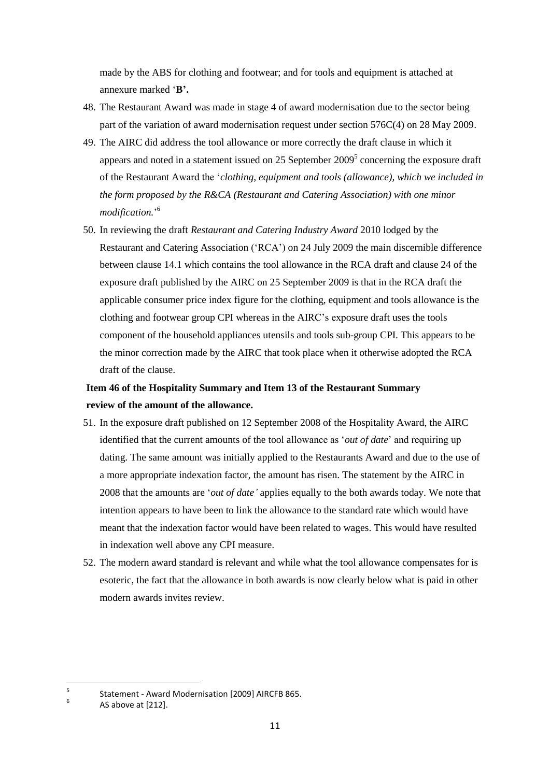made by the ABS for clothing and footwear; and for tools and equipment is attached at annexure marked '**B'.**

- 48. The Restaurant Award was made in stage 4 of award modernisation due to the sector being part of the variation of award modernisation request under section 576C(4) on 28 May 2009.
- 49. The AIRC did address the tool allowance or more correctly the draft clause in which it appears and noted in a statement issued on 25 September  $2009<sup>5</sup>$  concerning the exposure draft of the Restaurant Award the '*clothing, equipment and tools (allowance), which we included in the form proposed by the R&CA (Restaurant and Catering Association) with one minor modification.*' 6
- 50. In reviewing the draft *Restaurant and Catering Industry Award* 2010 lodged by the Restaurant and Catering Association ('RCA') on 24 July 2009 the main discernible difference between clause 14.1 which contains the tool allowance in the RCA draft and clause 24 of the exposure draft published by the AIRC on 25 September 2009 is that in the RCA draft the applicable consumer price index figure for the clothing, equipment and tools allowance is the clothing and footwear group CPI whereas in the AIRC's exposure draft uses the tools component of the household appliances utensils and tools sub-group CPI. This appears to be the minor correction made by the AIRC that took place when it otherwise adopted the RCA draft of the clause.

# **Item 46 of the Hospitality Summary and Item 13 of the Restaurant Summary review of the amount of the allowance.**

- 51. In the exposure draft published on 12 September 2008 of the Hospitality Award, the AIRC identified that the current amounts of the tool allowance as '*out of date*' and requiring up dating. The same amount was initially applied to the Restaurants Award and due to the use of a more appropriate indexation factor, the amount has risen. The statement by the AIRC in 2008 that the amounts are '*out of date'* applies equally to the both awards today. We note that intention appears to have been to link the allowance to the standard rate which would have meant that the indexation factor would have been related to wages. This would have resulted in indexation well above any CPI measure.
- 52. The modern award standard is relevant and while what the tool allowance compensates for is esoteric, the fact that the allowance in both awards is now clearly below what is paid in other modern awards invites review.

-<br>5 Statement - Award Modernisation [2009] AIRCFB 865.

6 AS above at [212].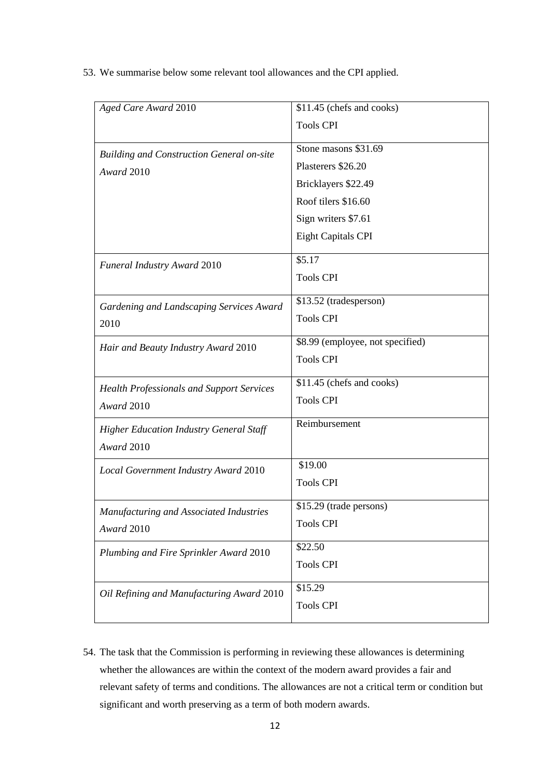53. We summarise below some relevant tool allowances and the CPI applied.

| Aged Care Award 2010                                           | \$11.45 (chefs and cooks)        |  |
|----------------------------------------------------------------|----------------------------------|--|
|                                                                | <b>Tools CPI</b>                 |  |
|                                                                | Stone masons \$31.69             |  |
| <b>Building and Construction General on-site</b><br>Award 2010 | Plasterers \$26.20               |  |
|                                                                | Bricklayers \$22.49              |  |
|                                                                | Roof tilers \$16.60              |  |
|                                                                | Sign writers \$7.61              |  |
|                                                                | <b>Eight Capitals CPI</b>        |  |
| Funeral Industry Award 2010                                    | \$5.17                           |  |
|                                                                | <b>Tools CPI</b>                 |  |
| Gardening and Landscaping Services Award                       | \$13.52 (tradesperson)           |  |
| 2010                                                           | <b>Tools CPI</b>                 |  |
| Hair and Beauty Industry Award 2010                            | \$8.99 (employee, not specified) |  |
|                                                                | <b>Tools CPI</b>                 |  |
| <b>Health Professionals and Support Services</b>               | \$11.45 (chefs and cooks)        |  |
| Award 2010                                                     | <b>Tools CPI</b>                 |  |
| <b>Higher Education Industry General Staff</b>                 | Reimbursement                    |  |
| Award 2010                                                     |                                  |  |
| Local Government Industry Award 2010                           | \$19.00                          |  |
|                                                                | <b>Tools CPI</b>                 |  |
| Manufacturing and Associated Industries                        | \$15.29 (trade persons)          |  |
| Award 2010                                                     | <b>Tools CPI</b>                 |  |
| Plumbing and Fire Sprinkler Award 2010                         | \$22.50                          |  |
|                                                                | <b>Tools CPI</b>                 |  |
| Oil Refining and Manufacturing Award 2010                      | \$15.29                          |  |
|                                                                | <b>Tools CPI</b>                 |  |
|                                                                |                                  |  |

54. The task that the Commission is performing in reviewing these allowances is determining whether the allowances are within the context of the modern award provides a fair and relevant safety of terms and conditions. The allowances are not a critical term or condition but significant and worth preserving as a term of both modern awards.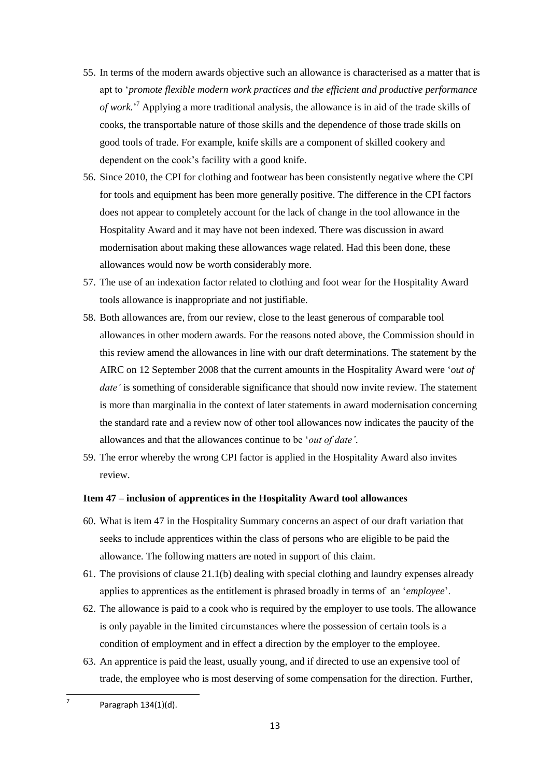- 55. In terms of the modern awards objective such an allowance is characterised as a matter that is apt to '*promote flexible modern work practices and the efficient and productive performance of work.*' <sup>7</sup> Applying a more traditional analysis, the allowance is in aid of the trade skills of cooks, the transportable nature of those skills and the dependence of those trade skills on good tools of trade. For example, knife skills are a component of skilled cookery and dependent on the cook's facility with a good knife.
- 56. Since 2010, the CPI for clothing and footwear has been consistently negative where the CPI for tools and equipment has been more generally positive. The difference in the CPI factors does not appear to completely account for the lack of change in the tool allowance in the Hospitality Award and it may have not been indexed. There was discussion in award modernisation about making these allowances wage related. Had this been done, these allowances would now be worth considerably more.
- 57. The use of an indexation factor related to clothing and foot wear for the Hospitality Award tools allowance is inappropriate and not justifiable.
- 58. Both allowances are, from our review, close to the least generous of comparable tool allowances in other modern awards. For the reasons noted above, the Commission should in this review amend the allowances in line with our draft determinations. The statement by the AIRC on 12 September 2008 that the current amounts in the Hospitality Award were '*out of date'* is something of considerable significance that should now invite review. The statement is more than marginalia in the context of later statements in award modernisation concerning the standard rate and a review now of other tool allowances now indicates the paucity of the allowances and that the allowances continue to be '*out of date'*.
- 59. The error whereby the wrong CPI factor is applied in the Hospitality Award also invites review.

#### **Item 47 – inclusion of apprentices in the Hospitality Award tool allowances**

- 60. What is item 47 in the Hospitality Summary concerns an aspect of our draft variation that seeks to include apprentices within the class of persons who are eligible to be paid the allowance. The following matters are noted in support of this claim.
- 61. The provisions of clause 21.1(b) dealing with special clothing and laundry expenses already applies to apprentices as the entitlement is phrased broadly in terms of an '*employee*'.
- 62. The allowance is paid to a cook who is required by the employer to use tools. The allowance is only payable in the limited circumstances where the possession of certain tools is a condition of employment and in effect a direction by the employer to the employee.
- 63. An apprentice is paid the least, usually young, and if directed to use an expensive tool of trade, the employee who is most deserving of some compensation for the direction. Further,

**.** 7

Paragraph 134(1)(d).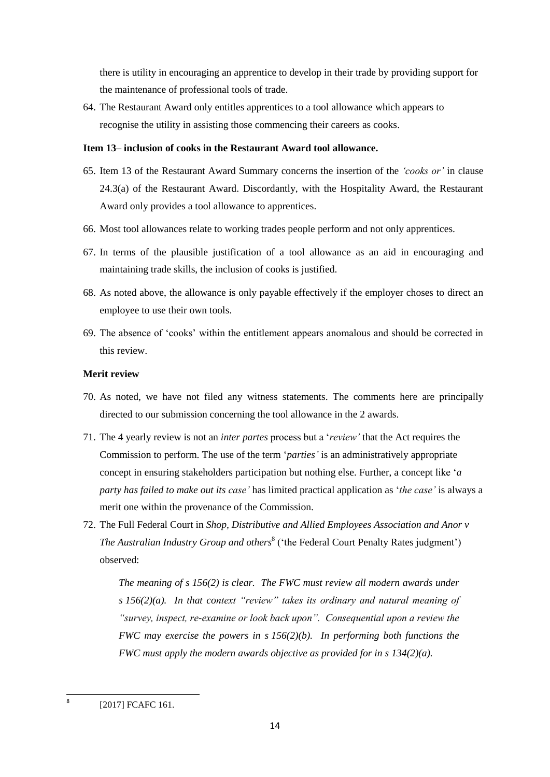there is utility in encouraging an apprentice to develop in their trade by providing support for the maintenance of professional tools of trade.

64. The Restaurant Award only entitles apprentices to a tool allowance which appears to recognise the utility in assisting those commencing their careers as cooks.

# **Item 13– inclusion of cooks in the Restaurant Award tool allowance.**

- 65. Item 13 of the Restaurant Award Summary concerns the insertion of the *'cooks or'* in clause 24.3(a) of the Restaurant Award. Discordantly, with the Hospitality Award, the Restaurant Award only provides a tool allowance to apprentices.
- 66. Most tool allowances relate to working trades people perform and not only apprentices.
- 67. In terms of the plausible justification of a tool allowance as an aid in encouraging and maintaining trade skills, the inclusion of cooks is justified.
- 68. As noted above, the allowance is only payable effectively if the employer choses to direct an employee to use their own tools.
- 69. The absence of 'cooks' within the entitlement appears anomalous and should be corrected in this review.

# **Merit review**

- 70. As noted, we have not filed any witness statements. The comments here are principally directed to our submission concerning the tool allowance in the 2 awards.
- 71. The 4 yearly review is not an *inter partes* process but a '*review'* that the Act requires the Commission to perform. The use of the term '*parties'* is an administratively appropriate concept in ensuring stakeholders participation but nothing else. Further, a concept like '*a party has failed to make out its case'* has limited practical application as '*the case'* is always a merit one within the provenance of the Commission.
- 72. The Full Federal Court in *Shop, Distributive and Allied Employees Association and Anor v The Australian Industry Group and others*<sup>8</sup> ('the Federal Court Penalty Rates judgment') observed:

*The meaning of s 156(2) is clear. The FWC must review all modern awards under s 156(2)(a). In that context "review" takes its ordinary and natural meaning of "survey, inspect, re-examine or look back upon". Consequential upon a review the FWC may exercise the powers in s 156(2)(b). In performing both functions the FWC must apply the modern awards objective as provided for in s 134(2)(a).* 

**<sup>.</sup>** 8 [2017] FCAFC 161.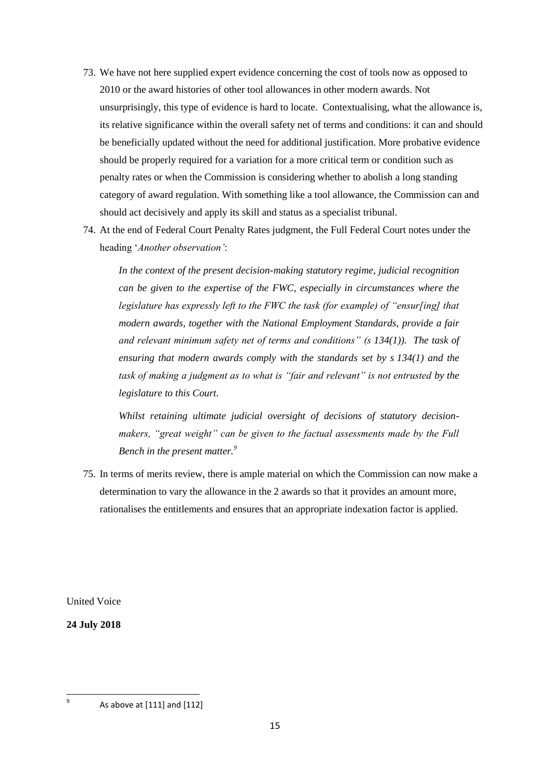- 73. We have not here supplied expert evidence concerning the cost of tools now as opposed to 2010 or the award histories of other tool allowances in other modern awards. Not unsurprisingly, this type of evidence is hard to locate. Contextualising, what the allowance is, its relative significance within the overall safety net of terms and conditions: it can and should be beneficially updated without the need for additional justification. More probative evidence should be properly required for a variation for a more critical term or condition such as penalty rates or when the Commission is considering whether to abolish a long standing category of award regulation. With something like a tool allowance, the Commission can and should act decisively and apply its skill and status as a specialist tribunal.
- 74. At the end of Federal Court Penalty Rates judgment, the Full Federal Court notes under the heading '*Another observation'*:

*In the context of the present decision-making statutory regime, judicial recognition can be given to the expertise of the FWC, especially in circumstances where the legislature has expressly left to the FWC the task (for example) of "ensur[ing] that modern awards, together with the National Employment Standards, provide a fair and relevant minimum safety net of terms and conditions" (s 134(1)). The task of ensuring that modern awards comply with the standards set by s 134(1) and the task of making a judgment as to what is "fair and relevant" is not entrusted by the legislature to this Court.*

*Whilst retaining ultimate judicial oversight of decisions of statutory decisionmakers, "great weight" can be given to the factual assessments made by the Full Bench in the present matter.<sup>9</sup>*

75. In terms of merits review, there is ample material on which the Commission can now make a determination to vary the allowance in the 2 awards so that it provides an amount more, rationalises the entitlements and ensures that an appropriate indexation factor is applied.

United Voice

**24 July 2018**

ــ<br>9

As above at [111] and [112]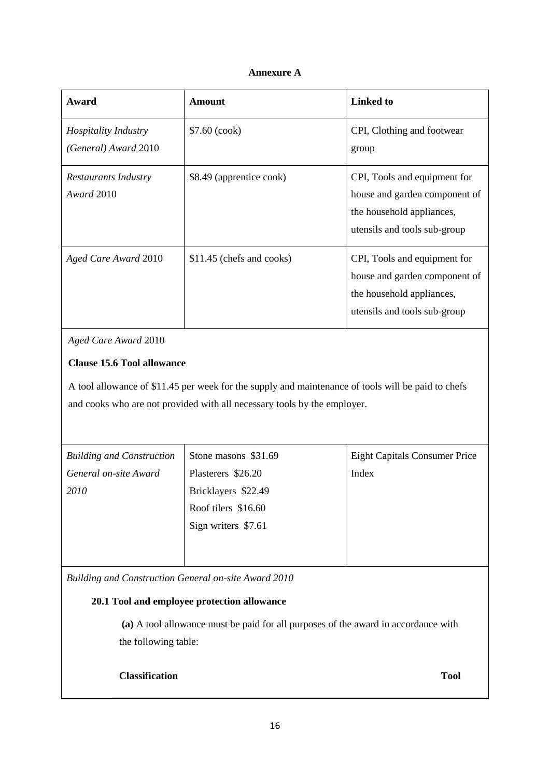# **Annexure A**

| Award                                               | Amount                    | Linked to                                                                                                                  |
|-----------------------------------------------------|---------------------------|----------------------------------------------------------------------------------------------------------------------------|
| <i>Hospitality Industry</i><br>(General) Award 2010 | $$7.60$ (cook)            | CPI, Clothing and footwear<br>group                                                                                        |
| Restaurants Industry<br><i>Award</i> 2010           | \$8.49 (apprentice cook)  | CPI, Tools and equipment for<br>house and garden component of<br>the household appliances,<br>utensils and tools sub-group |
| Aged Care Award 2010                                | \$11.45 (chefs and cooks) | CPI, Tools and equipment for<br>house and garden component of<br>the household appliances,<br>utensils and tools sub-group |

*Aged Care Award* 2010

# **Clause 15.6 Tool allowance**

A tool allowance of \$11.45 per week for the supply and maintenance of tools will be paid to chefs and cooks who are not provided with all necessary tools by the employer.

| <b>Building and Construction</b> | Stone masons \$31.69 | <b>Eight Capitals Consumer Price</b> |
|----------------------------------|----------------------|--------------------------------------|
| General on-site Award            | Plasterers \$26.20   | Index                                |
| 2010                             | Bricklayers \$22.49  |                                      |
|                                  | Roof tilers \$16.60  |                                      |
|                                  | Sign writers \$7.61  |                                      |
|                                  |                      |                                      |
|                                  |                      |                                      |

*Building and Construction General on-site Award 2010*

# **20.1 Tool and employee protection allowance**

**(a)** A tool allowance must be paid for all purposes of the award in accordance with the following table:

# **Classification Tool**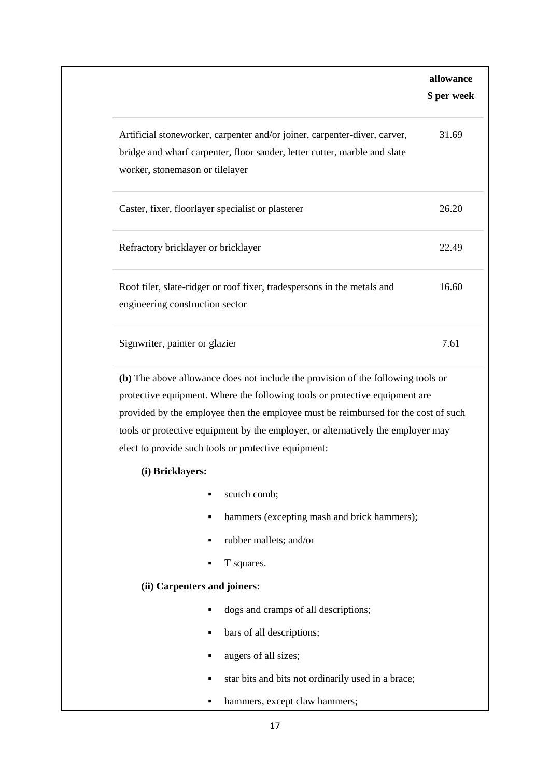|                                     |                                                                                                                                                                                                                                | allowance<br>\$ per week |
|-------------------------------------|--------------------------------------------------------------------------------------------------------------------------------------------------------------------------------------------------------------------------------|--------------------------|
| worker, stonemason or tilelayer     | Artificial stoneworker, carpenter and/or joiner, carpenter-diver, carver,<br>bridge and wharf carpenter, floor sander, letter cutter, marble and slate                                                                         | 31.69                    |
|                                     | Caster, fixer, floorlayer specialist or plasterer                                                                                                                                                                              | 26.20                    |
| Refractory bricklayer or bricklayer |                                                                                                                                                                                                                                | 22.49                    |
| engineering construction sector     | Roof tiler, slate-ridger or roof fixer, tradespersons in the metals and                                                                                                                                                        | 16.60                    |
| Signwriter, painter or glazier      |                                                                                                                                                                                                                                | 7.61                     |
|                                     | protective equipment. Where the following tools or protective equipment are                                                                                                                                                    |                          |
|                                     | provided by the employee then the employee must be reimbursed for the cost of such<br>tools or protective equipment by the employer, or alternatively the employer may<br>elect to provide such tools or protective equipment: |                          |
| (i) Bricklayers:                    |                                                                                                                                                                                                                                |                          |
|                                     | scutch comb;<br>٠<br>٠                                                                                                                                                                                                         |                          |
|                                     | hammers (excepting mash and brick hammers);<br>rubber mallets; and/or<br>٠                                                                                                                                                     |                          |
|                                     | T squares.<br>٠                                                                                                                                                                                                                |                          |
| (ii) Carpenters and joiners:        |                                                                                                                                                                                                                                |                          |
|                                     | dogs and cramps of all descriptions;<br>٠                                                                                                                                                                                      |                          |
|                                     | bars of all descriptions;<br>٠                                                                                                                                                                                                 |                          |
|                                     | augers of all sizes;<br>٠                                                                                                                                                                                                      |                          |
|                                     | star bits and bits not ordinarily used in a brace;<br>٠                                                                                                                                                                        |                          |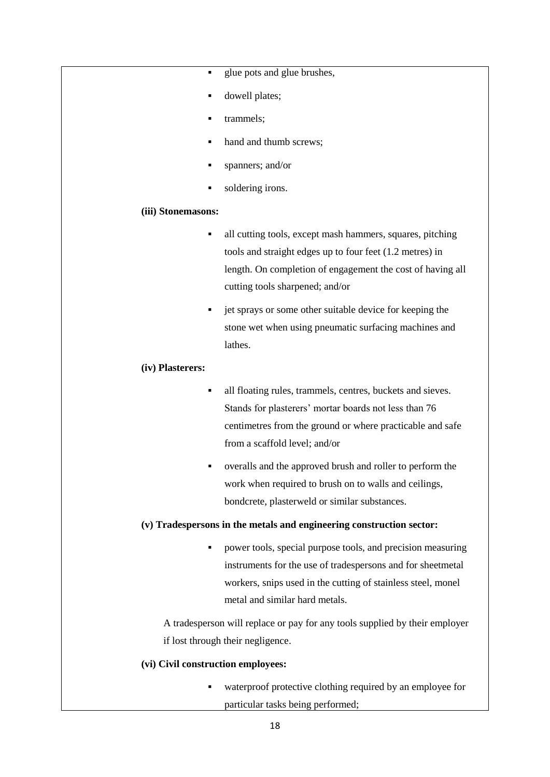- glue pots and glue brushes,
- dowell plates;
- trammels;
- hand and thumb screws;
- spanners; and/or
- soldering irons.

# **(iii) Stonemasons:**

- all cutting tools, except mash hammers, squares, pitching tools and straight edges up to four feet (1.2 metres) in length. On completion of engagement the cost of having all cutting tools sharpened; and/or
- jet sprays or some other suitable device for keeping the stone wet when using pneumatic surfacing machines and lathes.

#### **(iv) Plasterers:**

- all floating rules, trammels, centres, buckets and sieves. Stands for plasterers' mortar boards not less than 76 centimetres from the ground or where practicable and safe from a scaffold level; and/or
- overalls and the approved brush and roller to perform the work when required to brush on to walls and ceilings, bondcrete, plasterweld or similar substances.

### **(v) Tradespersons in the metals and engineering construction sector:**

 power tools, special purpose tools, and precision measuring instruments for the use of tradespersons and for sheetmetal workers, snips used in the cutting of stainless steel, monel metal and similar hard metals.

A tradesperson will replace or pay for any tools supplied by their employer if lost through their negligence.

#### **(vi) Civil construction employees:**

 waterproof protective clothing required by an employee for particular tasks being performed;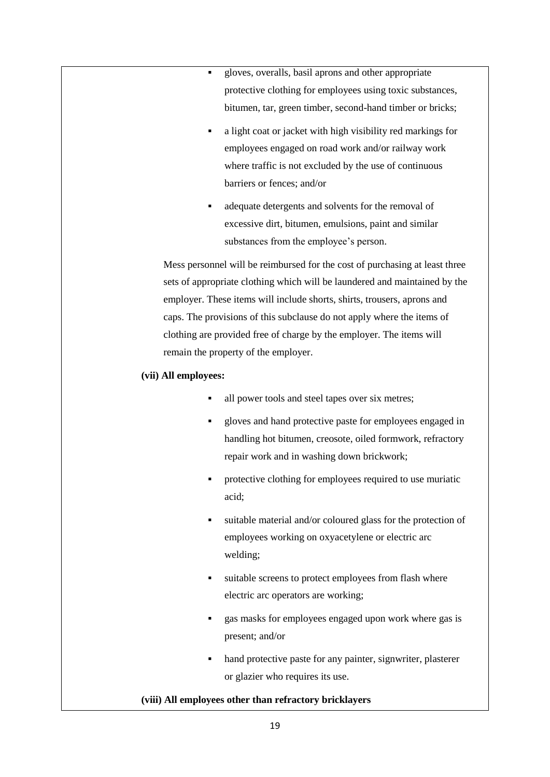- gloves, overalls, basil aprons and other appropriate protective clothing for employees using toxic substances, bitumen, tar, green timber, second-hand timber or bricks;
- a light coat or jacket with high visibility red markings for employees engaged on road work and/or railway work where traffic is not excluded by the use of continuous barriers or fences; and/or
- adequate detergents and solvents for the removal of excessive dirt, bitumen, emulsions, paint and similar substances from the employee's person.

Mess personnel will be reimbursed for the cost of purchasing at least three sets of appropriate clothing which will be laundered and maintained by the employer. These items will include shorts, shirts, trousers, aprons and caps. The provisions of this subclause do not apply where the items of clothing are provided free of charge by the employer. The items will remain the property of the employer.

# **(vii) All employees:**

- all power tools and steel tapes over six metres;
- gloves and hand protective paste for employees engaged in handling hot bitumen, creosote, oiled formwork, refractory repair work and in washing down brickwork;
- protective clothing for employees required to use muriatic acid;
- suitable material and/or coloured glass for the protection of employees working on oxyacetylene or electric arc welding;
- suitable screens to protect employees from flash where electric arc operators are working;
- **gas masks for employees engaged upon work where gas is** present; and/or
- hand protective paste for any painter, signwriter, plasterer or glazier who requires its use.

# **(viii) All employees other than refractory bricklayers**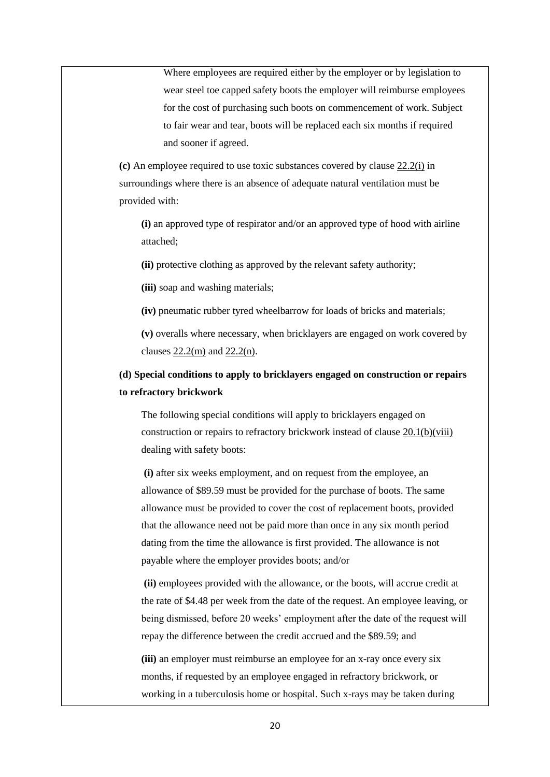Where employees are required either by the employer or by legislation to wear steel toe capped safety boots the employer will reimburse employees for the cost of purchasing such boots on commencement of work. Subject to fair wear and tear, boots will be replaced each six months if required and sooner if agreed.

**(c)** An employee required to use toxic substances covered by clause [22.2\(i\)](https://www.fwc.gov.au/documents/documents/modern_awards/award/ma000020/ma000020-26.htm#P1058_100857) in surroundings where there is an absence of adequate natural ventilation must be provided with:

**(i)** an approved type of respirator and/or an approved type of hood with airline attached;

**(ii)** protective clothing as approved by the relevant safety authority;

**(iii)** soap and washing materials;

**(iv)** pneumatic rubber tyred wheelbarrow for loads of bricks and materials;

**(v)** overalls where necessary, when bricklayers are engaged on work covered by clauses [22.2\(m\)](https://www.fwc.gov.au/documents/documents/modern_awards/award/ma000020/ma000020-26.htm#P1073_102709) and [22.2\(n\).](https://www.fwc.gov.au/documents/documents/modern_awards/award/ma000020/ma000020-26.htm#P1076_103093)

# **(d) Special conditions to apply to bricklayers engaged on construction or repairs to refractory brickwork**

The following special conditions will apply to bricklayers engaged on construction or repairs to refractory brickwork instead of clause [20.1\(b\)\(viii\)](https://www.fwc.gov.au/documents/documents/modern_awards/award/ma000020/ma000020-24.htm#P831_77648) dealing with safety boots:

**(i)** after six weeks employment, and on request from the employee, an allowance of \$89.59 must be provided for the purchase of boots. The same allowance must be provided to cover the cost of replacement boots, provided that the allowance need not be paid more than once in any six month period dating from the time the allowance is first provided. The allowance is not payable where the employer provides boots; and/or

**(ii)** employees provided with the allowance, or the boots, will accrue credit at the rate of \$4.48 per week from the date of the request. An employee leaving, or being dismissed, before 20 weeks' employment after the date of the request will repay the difference between the credit accrued and the \$89.59; and

**(iii)** an employer must reimburse an employee for an x-ray once every six months, if requested by an employee engaged in refractory brickwork, or working in a tuberculosis home or hospital. Such x-rays may be taken during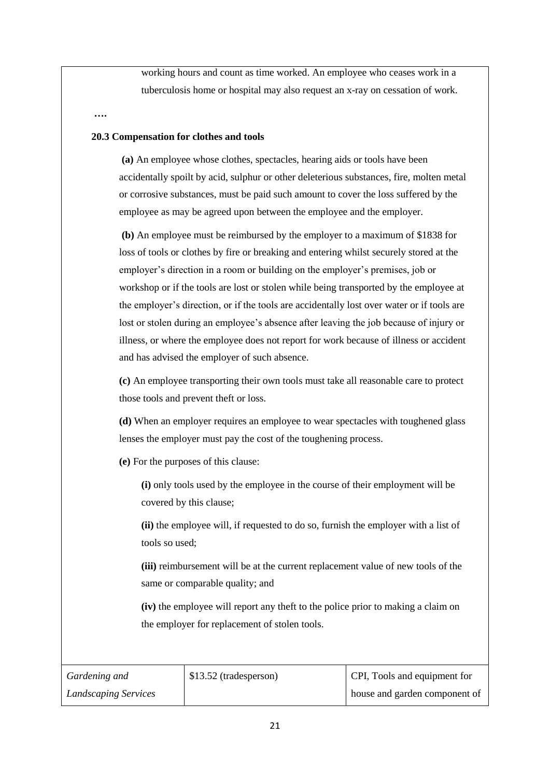working hours and count as time worked. An employee who ceases work in a tuberculosis home or hospital may also request an x-ray on cessation of work.

**….** 

#### **20.3 Compensation for clothes and tools**

**(a)** An employee whose clothes, spectacles, hearing aids or tools have been accidentally spoilt by acid, sulphur or other deleterious substances, fire, molten metal or corrosive substances, must be paid such amount to cover the loss suffered by the employee as may be agreed upon between the employee and the employer.

**(b)** An employee must be reimbursed by the employer to a maximum of \$1838 for loss of tools or clothes by fire or breaking and entering whilst securely stored at the employer's direction in a room or building on the employer's premises, job or workshop or if the tools are lost or stolen while being transported by the employee at the employer's direction, or if the tools are accidentally lost over water or if tools are lost or stolen during an employee's absence after leaving the job because of injury or illness, or where the employee does not report for work because of illness or accident and has advised the employer of such absence.

**(c)** An employee transporting their own tools must take all reasonable care to protect those tools and prevent theft or loss.

**(d)** When an employer requires an employee to wear spectacles with toughened glass lenses the employer must pay the cost of the toughening process.

**(e)** For the purposes of this clause:

**(i)** only tools used by the employee in the course of their employment will be covered by this clause;

**(ii)** the employee will, if requested to do so, furnish the employer with a list of tools so used;

**(iii)** reimbursement will be at the current replacement value of new tools of the same or comparable quality; and

**(iv)** the employee will report any theft to the police prior to making a claim on the employer for replacement of stolen tools.

| Gardening and               | \$13.52 (tradesperson) | CPI, Tools and equipment for  |
|-----------------------------|------------------------|-------------------------------|
| <b>Landscaping Services</b> |                        | house and garden component of |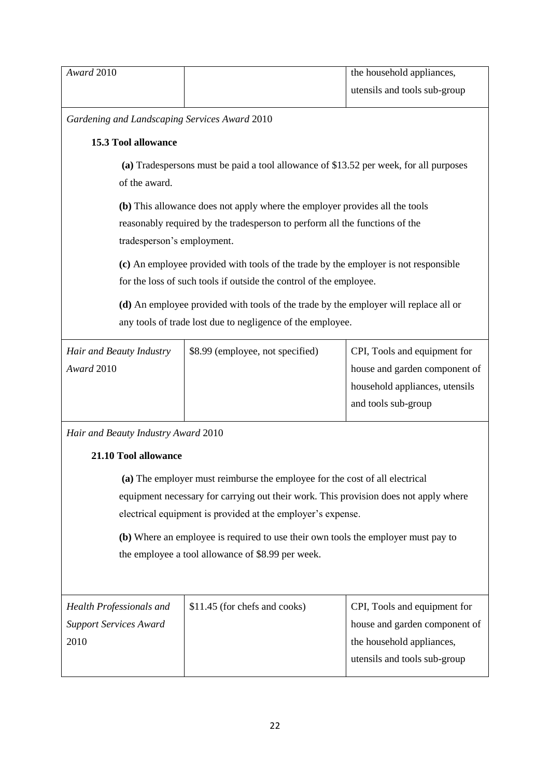| Award 2010                                                                           |                                                                                       | the household appliances,      |  |  |
|--------------------------------------------------------------------------------------|---------------------------------------------------------------------------------------|--------------------------------|--|--|
|                                                                                      |                                                                                       | utensils and tools sub-group   |  |  |
|                                                                                      | Gardening and Landscaping Services Award 2010                                         |                                |  |  |
| <b>15.3 Tool allowance</b>                                                           |                                                                                       |                                |  |  |
|                                                                                      | (a) Tradespersons must be paid a tool allowance of \$13.52 per week, for all purposes |                                |  |  |
| of the award.                                                                        |                                                                                       |                                |  |  |
|                                                                                      | (b) This allowance does not apply where the employer provides all the tools           |                                |  |  |
|                                                                                      | reasonably required by the tradesperson to perform all the functions of the           |                                |  |  |
| tradesperson's employment.                                                           |                                                                                       |                                |  |  |
|                                                                                      | (c) An employee provided with tools of the trade by the employer is not responsible   |                                |  |  |
|                                                                                      | for the loss of such tools if outside the control of the employee.                    |                                |  |  |
|                                                                                      |                                                                                       |                                |  |  |
|                                                                                      | (d) An employee provided with tools of the trade by the employer will replace all or  |                                |  |  |
|                                                                                      | any tools of trade lost due to negligence of the employee.                            |                                |  |  |
| Hair and Beauty Industry                                                             | \$8.99 (employee, not specified)                                                      | CPI, Tools and equipment for   |  |  |
| Award 2010                                                                           |                                                                                       | house and garden component of  |  |  |
|                                                                                      |                                                                                       | household appliances, utensils |  |  |
|                                                                                      |                                                                                       | and tools sub-group            |  |  |
|                                                                                      |                                                                                       |                                |  |  |
| Hair and Beauty Industry Award 2010                                                  |                                                                                       |                                |  |  |
| 21.10 Tool allowance                                                                 |                                                                                       |                                |  |  |
| (a) The employer must reimburse the employee for the cost of all electrical          |                                                                                       |                                |  |  |
| equipment necessary for carrying out their work. This provision does not apply where |                                                                                       |                                |  |  |
| electrical equipment is provided at the employer's expense.                          |                                                                                       |                                |  |  |
| (b) Where an employee is required to use their own tools the employer must pay to    |                                                                                       |                                |  |  |
| the employee a tool allowance of \$8.99 per week.                                    |                                                                                       |                                |  |  |
|                                                                                      |                                                                                       |                                |  |  |
| Health Professionals and                                                             | \$11.45 (for chefs and cooks)                                                         | CPI, Tools and equipment for   |  |  |

| <b>Health Professionals and</b> | DIT. 45 (TOP CHEIS and COOKS) | ULTI, TOOIS and equipment for |
|---------------------------------|-------------------------------|-------------------------------|
| <b>Support Services Award</b>   |                               | house and garden component of |
| 2010                            |                               | the household appliances,     |
|                                 |                               | utensils and tools sub-group  |
|                                 |                               |                               |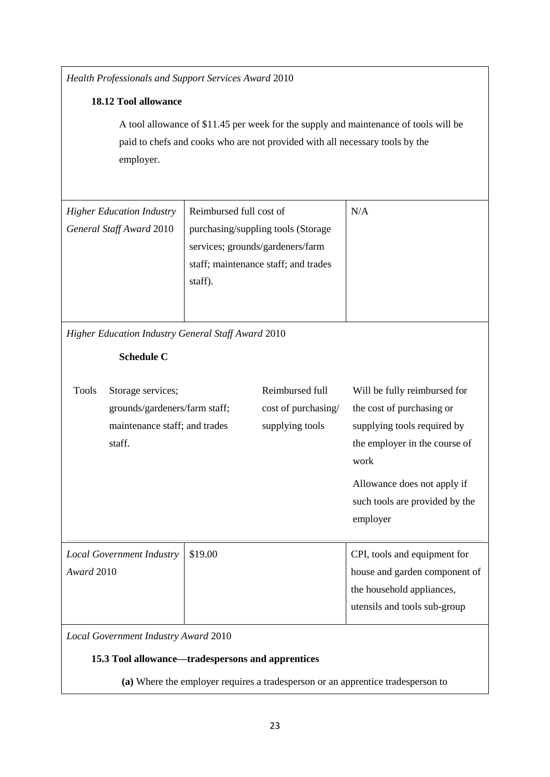*Health Professionals and Support Services Award* 2010 **18.12 Tool allowance** A tool allowance of \$11.45 per week for the supply and maintenance of tools will be paid to chefs and cooks who are not provided with all necessary tools by the employer. *Higher Education Industry General Staff Award* 2010 Reimbursed full cost of purchasing/suppling tools (Storage services; grounds/gardeners/farm staff; maintenance staff; and trades staff). N/A *Higher Education Industry General Staff Award* 2010 **Schedule C** Tools Storage services; grounds/gardeners/farm staff; maintenance staff; and trades staff. Reimbursed full cost of purchasing/ supplying tools Will be fully reimbursed for the cost of purchasing or supplying tools required by the employer in the course of work Allowance does not apply if such tools are provided by the employer *Local Government Industry Award* 2010 \$19.00 CPI, tools and equipment for house and garden component of the household appliances, utensils and tools sub-group *Local Government Industry Award* 2010 **15.3 Tool allowance—tradespersons and apprentices (a)** Where the employer requires a tradesperson or an apprentice tradesperson to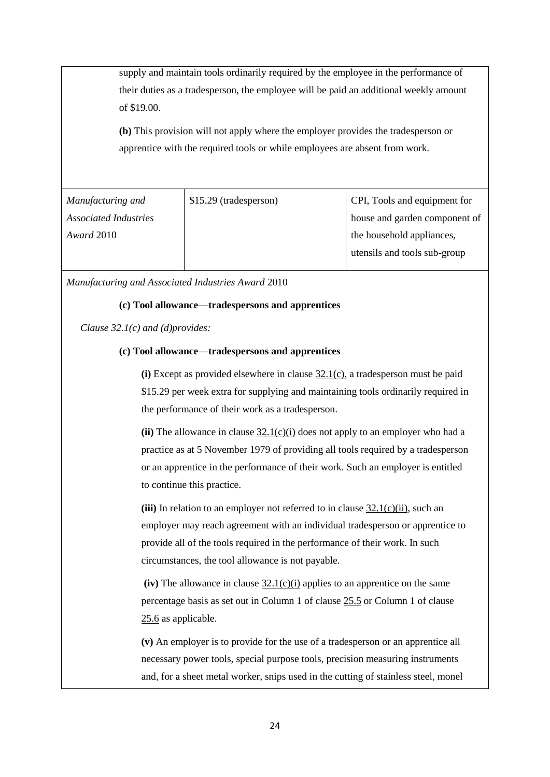supply and maintain tools ordinarily required by the employee in the performance of their duties as a tradesperson, the employee will be paid an additional weekly amount of \$19.00.

**(b)** This provision will not apply where the employer provides the tradesperson or apprentice with the required tools or while employees are absent from work.

| Manufacturing and            | \$15.29 (tradesperson) | CPI, Tools and equipment for  |
|------------------------------|------------------------|-------------------------------|
| <b>Associated Industries</b> |                        | house and garden component of |
| Award 2010                   |                        | the household appliances,     |
|                              |                        | utensils and tools sub-group  |
|                              |                        |                               |

*Manufacturing and Associated Industries Award* 2010

# **(c) Tool allowance—tradespersons and apprentices**

*Clause 32.1(c) and (d)provides:*

# **(c) Tool allowance—tradespersons and apprentices**

**(i)** Except as provided elsewhere in clause [32.1\(c\),](https://www.fwc.gov.au/documents/documents/modern_awards/award/ma000010/ma000010-36.htm#P1786_122590) a tradesperson must be paid \$15.29 per week extra for supplying and maintaining tools ordinarily required in the performance of their work as a tradesperson.

 $(iii)$  The allowance in clause  $32.1(c)(i)$  does not apply to an employer who had a practice as at 5 November 1979 of providing all tools required by a tradesperson or an apprentice in the performance of their work. Such an employer is entitled to continue this practice.

**(iii)** In relation to an employer not referred to in clause  $32.1(c)(ii)$ , such an employer may reach agreement with an individual tradesperson or apprentice to provide all of the tools required in the performance of their work. In such circumstances, the tool allowance is not payable.

 $(iv)$  The allowance in clause  $32.1(c)(i)$  applies to an apprentice on the same percentage basis as set out in Column 1 of claus[e 25.5](https://www.fwc.gov.au/documents/documents/modern_awards/award/ma000010/ma000010-29.htm#P1061_104321) or Column 1 of clause [25.6](https://www.fwc.gov.au/documents/documents/modern_awards/award/ma000010/ma000010-29.htm#P1103_105285) as applicable.

**(v)** An employer is to provide for the use of a tradesperson or an apprentice all necessary power tools, special purpose tools, precision measuring instruments and, for a sheet metal worker, snips used in the cutting of stainless steel, monel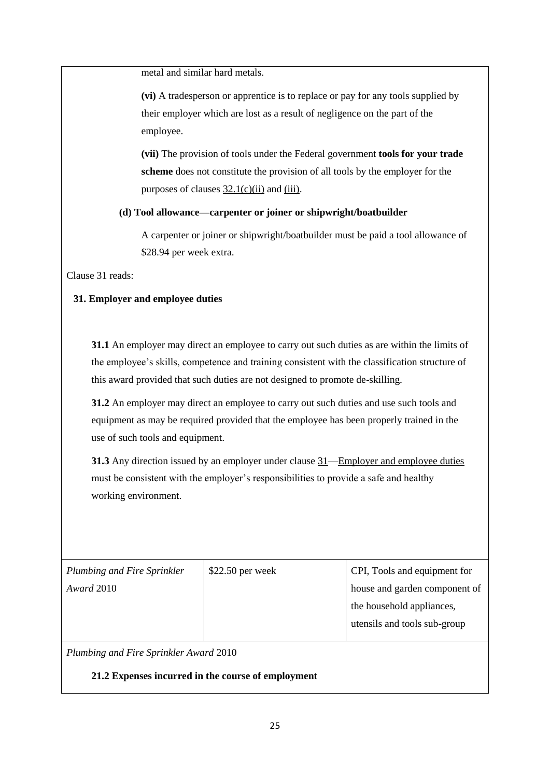metal and similar hard metals.

**(vi)** A tradesperson or apprentice is to replace or pay for any tools supplied by their employer which are lost as a result of negligence on the part of the employee.

**(vii)** The provision of tools under the Federal government **tools for your trade scheme** does not constitute the provision of all tools by the employer for the purposes of clauses  $32.1(c)(ii)$  and  $(iii)$ .

# **(d) Tool allowance—carpenter or joiner or shipwright/boatbuilder**

A carpenter or joiner or shipwright/boatbuilder must be paid a tool allowance of \$28.94 per week extra.

Clause 31 reads:

# **31. Employer and employee duties**

**31.1** An employer may direct an employee to carry out such duties as are within the limits of the employee's skills, competence and training consistent with the classification structure of this award provided that such duties are not designed to promote de-skilling.

**31.2** An employer may direct an employee to carry out such duties and use such tools and equipment as may be required provided that the employee has been properly trained in the use of such tools and equipment.

**31.3** Any direction issued by an employer under clause  $31$ —Employer and employee duties must be consistent with the employer's responsibilities to provide a safe and healthy working environment.

| Plumbing and Fire Sprinkler | $$22.50$ per week | CPI, Tools and equipment for  |
|-----------------------------|-------------------|-------------------------------|
| Award 2010                  |                   | house and garden component of |
|                             |                   | the household appliances,     |
|                             |                   | utensils and tools sub-group  |
|                             |                   |                               |

*Plumbing and Fire Sprinkler Award* 2010

**21.2 Expenses incurred in the course of employment**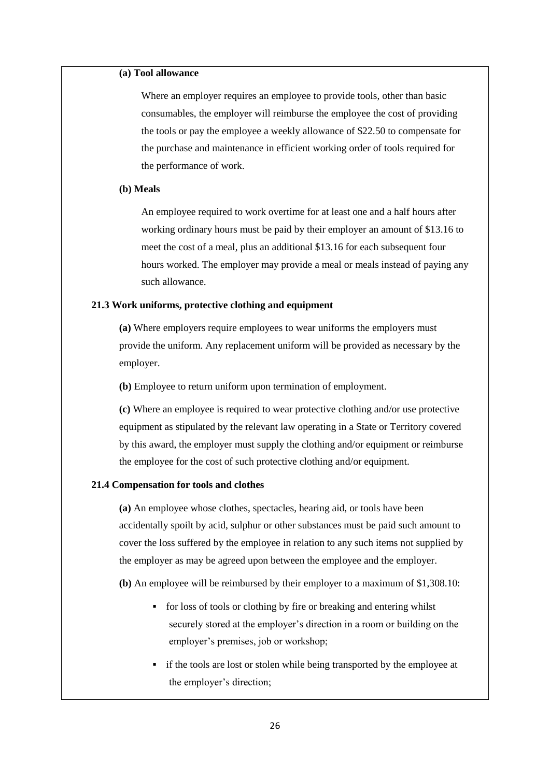### **(a) Tool allowance**

Where an employer requires an employee to provide tools, other than basic consumables, the employer will reimburse the employee the cost of providing the tools or pay the employee a weekly allowance of \$22.50 to compensate for the purchase and maintenance in efficient working order of tools required for the performance of work.

#### **(b) Meals**

An employee required to work overtime for at least one and a half hours after working ordinary hours must be paid by their employer an amount of \$13.16 to meet the cost of a meal, plus an additional \$13.16 for each subsequent four hours worked. The employer may provide a meal or meals instead of paying any such allowance.

#### **21.3 Work uniforms, protective clothing and equipment**

**(a)** Where employers require employees to wear uniforms the employers must provide the uniform. Any replacement uniform will be provided as necessary by the employer.

**(b)** Employee to return uniform upon termination of employment.

**(c)** Where an employee is required to wear protective clothing and/or use protective equipment as stipulated by the relevant law operating in a State or Territory covered by this award, the employer must supply the clothing and/or equipment or reimburse the employee for the cost of such protective clothing and/or equipment.

### **21.4 Compensation for tools and clothes**

**(a)** An employee whose clothes, spectacles, hearing aid, or tools have been accidentally spoilt by acid, sulphur or other substances must be paid such amount to cover the loss suffered by the employee in relation to any such items not supplied by the employer as may be agreed upon between the employee and the employer.

**(b)** An employee will be reimbursed by their employer to a maximum of \$1,308.10:

- for loss of tools or clothing by fire or breaking and entering whilst securely stored at the employer's direction in a room or building on the employer's premises, job or workshop;
- if the tools are lost or stolen while being transported by the employee at the employer's direction;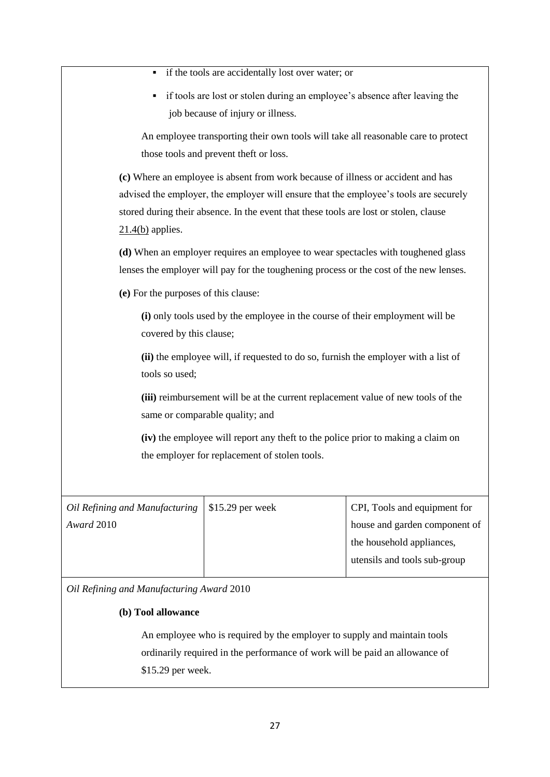if the tools are accidentally lost over water; or if tools are lost or stolen during an employee's absence after leaving the job because of injury or illness. An employee transporting their own tools will take all reasonable care to protect those tools and prevent theft or loss. **(c)** Where an employee is absent from work because of illness or accident and has advised the employer, the employer will ensure that the employee's tools are securely stored during their absence. In the event that these tools are lost or stolen, clause [21.4\(b\)](https://www.fwc.gov.au/documents/documents/modern_awards/award/ma000036/ma000036-25.htm#P754_68877) applies. **(d)** When an employer requires an employee to wear spectacles with toughened glass lenses the employer will pay for the toughening process or the cost of the new lenses. **(e)** For the purposes of this clause: **(i)** only tools used by the employee in the course of their employment will be covered by this clause; **(ii)** the employee will, if requested to do so, furnish the employer with a list of tools so used; **(iii)** reimbursement will be at the current replacement value of new tools of the same or comparable quality; and **(iv)** the employee will report any theft to the police prior to making a claim on the employer for replacement of stolen tools. *Oil Refining and Manufacturing Award* 2010 \$15.29 per week CPI, Tools and equipment for house and garden component of the household appliances, utensils and tools sub-group *Oil Refining and Manufacturing Award* 2010

# **(b) Tool allowance**

An employee who is required by the employer to supply and maintain tools ordinarily required in the performance of work will be paid an allowance of \$15.29 per week.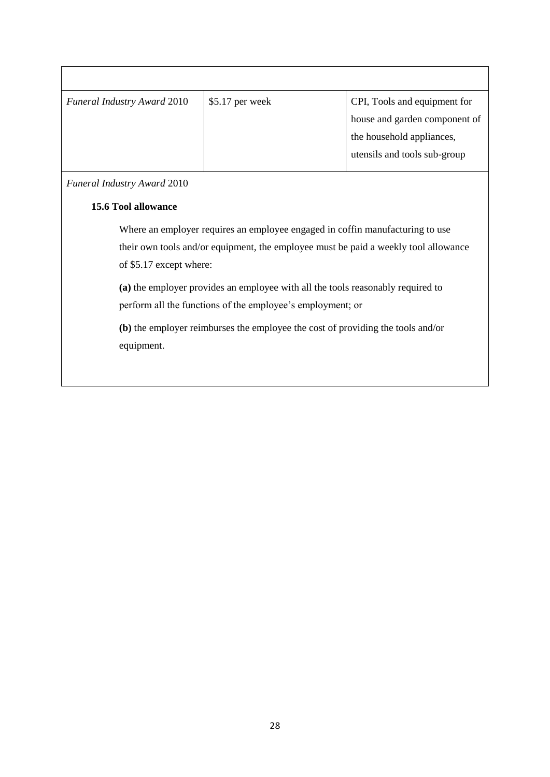| <b>Funeral Industry Award 2010</b> | $$5.17$ per week | CPI, Tools and equipment for  |
|------------------------------------|------------------|-------------------------------|
|                                    |                  | house and garden component of |
|                                    |                  | the household appliances,     |
|                                    |                  | utensils and tools sub-group  |
|                                    |                  |                               |

*Funeral Industry Award* 2010

# **15.6 Tool allowance**

Where an employer requires an employee engaged in coffin manufacturing to use their own tools and/or equipment, the employee must be paid a weekly tool allowance of \$5.17 except where:

**(a)** the employer provides an employee with all the tools reasonably required to perform all the functions of the employee's employment; or

**(b)** the employer reimburses the employee the cost of providing the tools and/or equipment.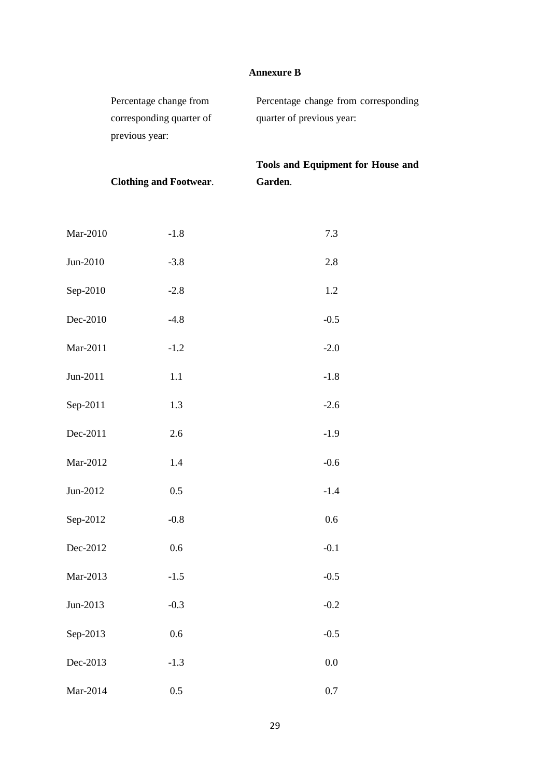# **Annexure B**

| Percentage change from   | Percentage change from corresponding |
|--------------------------|--------------------------------------|
| corresponding quarter of | quarter of previous year:            |
| previous year:           |                                      |
|                          |                                      |

**Clothing and Footwear**.

**Tools and Equipment for House and Garden**.

| Mar-2010 | $-1.8$ | 7.3    |
|----------|--------|--------|
| Jun-2010 | $-3.8$ | 2.8    |
| Sep-2010 | $-2.8$ | 1.2    |
| Dec-2010 | $-4.8$ | $-0.5$ |
| Mar-2011 | $-1.2$ | $-2.0$ |
| Jun-2011 | 1.1    | $-1.8$ |
| Sep-2011 | 1.3    | $-2.6$ |
| Dec-2011 | 2.6    | $-1.9$ |
| Mar-2012 | 1.4    | $-0.6$ |
| Jun-2012 | 0.5    | $-1.4$ |
| Sep-2012 | $-0.8$ | 0.6    |
| Dec-2012 | 0.6    | $-0.1$ |
| Mar-2013 | $-1.5$ | $-0.5$ |
| Jun-2013 | $-0.3$ | $-0.2$ |
| Sep-2013 | 0.6    | $-0.5$ |
| Dec-2013 | $-1.3$ | 0.0    |
| Mar-2014 | 0.5    | 0.7    |